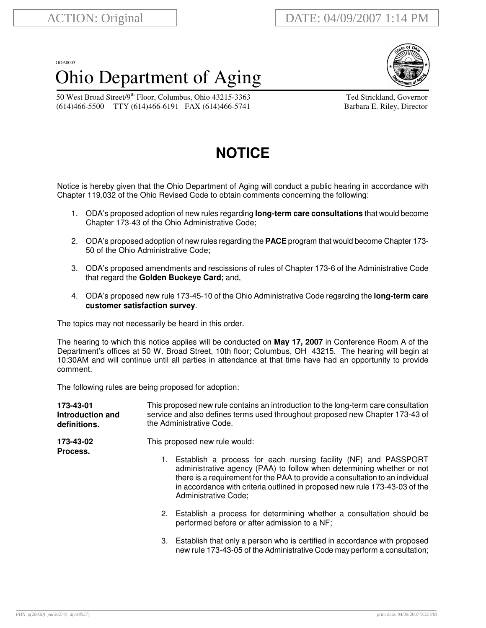## ODA0003 Ohio Department of Aging



50 West Broad Street/9<sup>th</sup> Floor, Columbus, Ohio 43215-3363 Ted Strickland, Governor (614)466-5500 TTY (614)466-6191 FAX (614)466-5741 Barbara E. Riley, Director

## **NOTICE**

Notice is hereby given that the Ohio Department of Aging will conduct a public hearing in accordance with Chapter 119.032 of the Ohio Revised Code to obtain comments concerning the following:

- 1. ODA's proposed adoption of new rules regarding **long-term care consultations** that would become Chapter 173-43 of the Ohio Administrative Code;
- 2. ODA's proposed adoption of new rules regarding the **PACE** program that would become Chapter 173- 50 of the Ohio Administrative Code;
- 3. ODA's proposed amendments and rescissions of rules of Chapter 173-6 of the Administrative Code that regard the **Golden Buckeye Card**; and,
- 4. ODA's proposed new rule 173-45-10 of the Ohio Administrative Code regarding the **long-term care customer satisfaction survey**.

The topics may not necessarily be heard in this order.

The hearing to which this notice applies will be conducted on **May 17, 2007** in Conference Room A of the Department's offices at 50 W. Broad Street, 10th floor; Columbus, OH 43215. The hearing will begin at 10:30AM and will continue until all parties in attendance at that time have had an opportunity to provide comment.

The following rules are being proposed for adoption:

| 173-43-01<br>Introduction and<br>definitions. | This proposed new rule contains an introduction to the long-term care consultation<br>service and also defines terms used throughout proposed new Chapter 173-43 of<br>the Administrative Code.<br>This proposed new rule would:                                                                                                      |  |  |
|-----------------------------------------------|---------------------------------------------------------------------------------------------------------------------------------------------------------------------------------------------------------------------------------------------------------------------------------------------------------------------------------------|--|--|
| 173-43-02<br>Process.                         |                                                                                                                                                                                                                                                                                                                                       |  |  |
|                                               | Establish a process for each nursing facility (NF) and PASSPORT<br>1.<br>administrative agency (PAA) to follow when determining whether or not<br>there is a requirement for the PAA to provide a consultation to an individual<br>in accordance with criteria outlined in proposed new rule 173-43-03 of the<br>Administrative Code; |  |  |
|                                               | 2. Establish a process for determining whether a consultation should be<br>performed before or after admission to a NF;                                                                                                                                                                                                               |  |  |
|                                               | 3. Establish that only a person who is certified in accordance with proposed<br>new rule 173-43-05 of the Administrative Code may perform a consultation;                                                                                                                                                                             |  |  |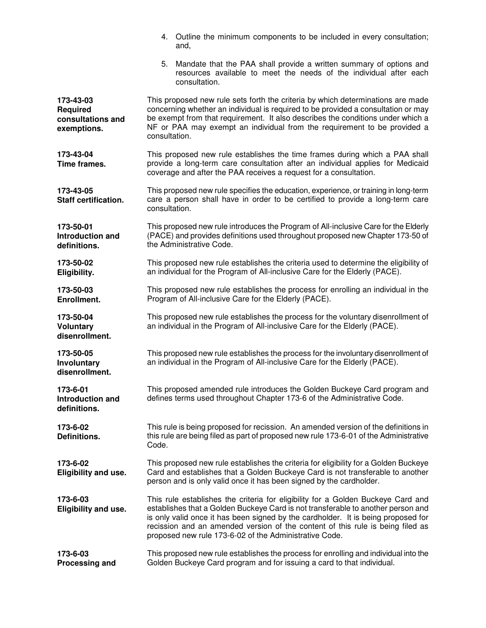|                                                                  | 4. Outline the minimum components to be included in every consultation;<br>and,                                                                                                                                                                                                                                                                                                                       |  |  |  |
|------------------------------------------------------------------|-------------------------------------------------------------------------------------------------------------------------------------------------------------------------------------------------------------------------------------------------------------------------------------------------------------------------------------------------------------------------------------------------------|--|--|--|
|                                                                  | Mandate that the PAA shall provide a written summary of options and<br>5.<br>resources available to meet the needs of the individual after each<br>consultation.                                                                                                                                                                                                                                      |  |  |  |
| 173-43-03<br><b>Required</b><br>consultations and<br>exemptions. | This proposed new rule sets forth the criteria by which determinations are made<br>concerning whether an individual is required to be provided a consultation or may<br>be exempt from that requirement. It also describes the conditions under which a<br>NF or PAA may exempt an individual from the requirement to be provided a<br>consultation.                                                  |  |  |  |
| 173-43-04<br>Time frames.                                        | This proposed new rule establishes the time frames during which a PAA shall<br>provide a long-term care consultation after an individual applies for Medicaid<br>coverage and after the PAA receives a request for a consultation.                                                                                                                                                                    |  |  |  |
| 173-43-05<br>Staff certification.                                | This proposed new rule specifies the education, experience, or training in long-term<br>care a person shall have in order to be certified to provide a long-term care<br>consultation.                                                                                                                                                                                                                |  |  |  |
| 173-50-01<br><b>Introduction and</b><br>definitions.             | This proposed new rule introduces the Program of All-inclusive Care for the Elderly<br>(PACE) and provides definitions used throughout proposed new Chapter 173-50 of<br>the Administrative Code.                                                                                                                                                                                                     |  |  |  |
| 173-50-02<br>Eligibility.                                        | This proposed new rule establishes the criteria used to determine the eligibility of<br>an individual for the Program of All-inclusive Care for the Elderly (PACE).                                                                                                                                                                                                                                   |  |  |  |
| 173-50-03<br>Enrollment.                                         | This proposed new rule establishes the process for enrolling an individual in the<br>Program of All-inclusive Care for the Elderly (PACE).                                                                                                                                                                                                                                                            |  |  |  |
| 173-50-04<br><b>Voluntary</b><br>disenrollment.                  | This proposed new rule establishes the process for the voluntary disenrollment of<br>an individual in the Program of All-inclusive Care for the Elderly (PACE).                                                                                                                                                                                                                                       |  |  |  |
| 173-50-05<br>Involuntary<br>disenrollment.                       | This proposed new rule establishes the process for the involuntary disenrollment of<br>an individual in the Program of All-inclusive Care for the Elderly (PACE).                                                                                                                                                                                                                                     |  |  |  |
| 173-6-01<br>Introduction and<br>definitions.                     | This proposed amended rule introduces the Golden Buckeye Card program and<br>defines terms used throughout Chapter 173-6 of the Administrative Code.                                                                                                                                                                                                                                                  |  |  |  |
| 173-6-02<br>Definitions.                                         | This rule is being proposed for recission. An amended version of the definitions in<br>this rule are being filed as part of proposed new rule 173-6-01 of the Administrative<br>Code.                                                                                                                                                                                                                 |  |  |  |
| 173-6-02<br><b>Eligibility and use.</b>                          | This proposed new rule establishes the criteria for eligibility for a Golden Buckeye<br>Card and establishes that a Golden Buckeye Card is not transferable to another<br>person and is only valid once it has been signed by the cardholder.                                                                                                                                                         |  |  |  |
| 173-6-03<br>Eligibility and use.                                 | This rule establishes the criteria for eligibility for a Golden Buckeye Card and<br>establishes that a Golden Buckeye Card is not transferable to another person and<br>is only valid once it has been signed by the cardholder. It is being proposed for<br>recission and an amended version of the content of this rule is being filed as<br>proposed new rule 173-6-02 of the Administrative Code. |  |  |  |
| 173-6-03<br><b>Processing and</b>                                | This proposed new rule establishes the process for enrolling and individual into the<br>Golden Buckeye Card program and for issuing a card to that individual.                                                                                                                                                                                                                                        |  |  |  |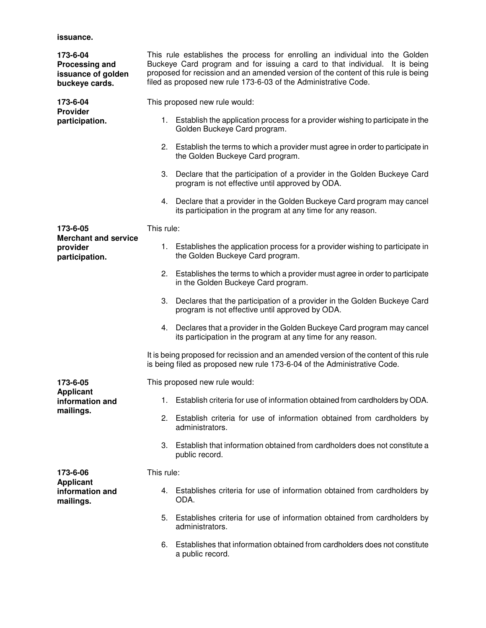## **issuance.**

| 173-6-04<br><b>Processing and</b><br>issuance of golden<br>buckeye cards. | This rule establishes the process for enrolling an individual into the Golden<br>Buckeye Card program and for issuing a card to that individual. It is being<br>proposed for recission and an amended version of the content of this rule is being<br>filed as proposed new rule 173-6-03 of the Administrative Code. |                                                                                                                                                                   |  |  |
|---------------------------------------------------------------------------|-----------------------------------------------------------------------------------------------------------------------------------------------------------------------------------------------------------------------------------------------------------------------------------------------------------------------|-------------------------------------------------------------------------------------------------------------------------------------------------------------------|--|--|
| 173-6-04<br><b>Provider</b><br>participation.                             | This proposed new rule would:                                                                                                                                                                                                                                                                                         |                                                                                                                                                                   |  |  |
|                                                                           |                                                                                                                                                                                                                                                                                                                       | 1. Establish the application process for a provider wishing to participate in the<br>Golden Buckeye Card program.                                                 |  |  |
|                                                                           |                                                                                                                                                                                                                                                                                                                       | 2. Establish the terms to which a provider must agree in order to participate in<br>the Golden Buckeye Card program.                                              |  |  |
|                                                                           |                                                                                                                                                                                                                                                                                                                       | 3. Declare that the participation of a provider in the Golden Buckeye Card<br>program is not effective until approved by ODA.                                     |  |  |
|                                                                           |                                                                                                                                                                                                                                                                                                                       | 4. Declare that a provider in the Golden Buckeye Card program may cancel<br>its participation in the program at any time for any reason.                          |  |  |
| 173-6-05<br><b>Merchant and service</b><br>provider<br>participation.     | This rule:                                                                                                                                                                                                                                                                                                            |                                                                                                                                                                   |  |  |
|                                                                           |                                                                                                                                                                                                                                                                                                                       | 1. Establishes the application process for a provider wishing to participate in<br>the Golden Buckeye Card program.                                               |  |  |
|                                                                           | 2.                                                                                                                                                                                                                                                                                                                    | Establishes the terms to which a provider must agree in order to participate<br>in the Golden Buckeye Card program.                                               |  |  |
|                                                                           | 3.                                                                                                                                                                                                                                                                                                                    | Declares that the participation of a provider in the Golden Buckeye Card<br>program is not effective until approved by ODA.                                       |  |  |
|                                                                           | 4.                                                                                                                                                                                                                                                                                                                    | Declares that a provider in the Golden Buckeye Card program may cancel<br>its participation in the program at any time for any reason.                            |  |  |
|                                                                           |                                                                                                                                                                                                                                                                                                                       | It is being proposed for recission and an amended version of the content of this rule<br>is being filed as proposed new rule 173-6-04 of the Administrative Code. |  |  |
| 173-6-05                                                                  |                                                                                                                                                                                                                                                                                                                       | This proposed new rule would:                                                                                                                                     |  |  |
| <b>Applicant</b><br>information and<br>mailings.                          |                                                                                                                                                                                                                                                                                                                       | 1. Establish criteria for use of information obtained from cardholders by ODA.                                                                                    |  |  |
|                                                                           |                                                                                                                                                                                                                                                                                                                       | 2. Establish criteria for use of information obtained from cardholders by<br>administrators.                                                                      |  |  |
|                                                                           | 3.                                                                                                                                                                                                                                                                                                                    | Establish that information obtained from cardholders does not constitute a<br>public record.                                                                      |  |  |
| 173-6-06<br><b>Applicant</b><br>information and<br>mailings.              | This rule:                                                                                                                                                                                                                                                                                                            |                                                                                                                                                                   |  |  |
|                                                                           | 4.                                                                                                                                                                                                                                                                                                                    | Establishes criteria for use of information obtained from cardholders by<br>ODA.                                                                                  |  |  |
|                                                                           | 5.                                                                                                                                                                                                                                                                                                                    | Establishes criteria for use of information obtained from cardholders by<br>administrators.                                                                       |  |  |
|                                                                           | 6.                                                                                                                                                                                                                                                                                                                    | Establishes that information obtained from cardholders does not constitute<br>a public record.                                                                    |  |  |